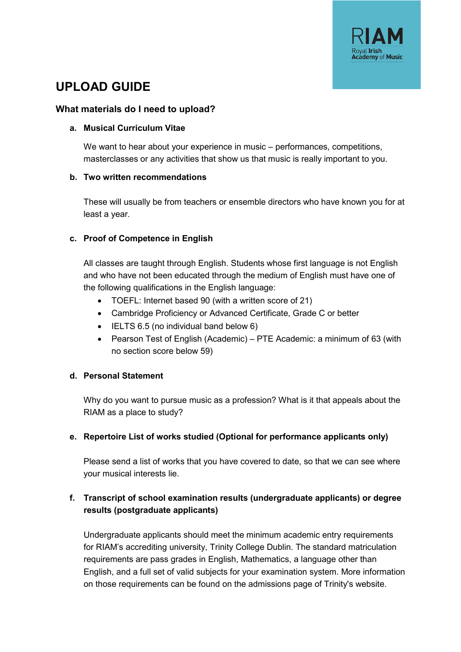

# **UPLOAD GUIDE**

#### **What materials do I need to upload?**

#### **a. Musical Curriculum Vitae**

We want to hear about your experience in music – performances, competitions, masterclasses or any activities that show us that music is really important to you.

#### **b. Two written recommendations**

These will usually be from teachers or ensemble directors who have known you for at least a year.

## **c. Proof of Competence in English**

All classes are taught through English. Students whose first language is not English and who have not been educated through the medium of English must have one of the following qualifications in the English language:

- TOEFL: Internet based 90 (with a written score of 21)
- Cambridge Proficiency or Advanced Certificate, Grade C or better
- IELTS 6.5 (no individual band below 6)
- Pearson Test of English (Academic) PTE Academic: a minimum of 63 (with no section score below 59)

## **d. Personal Statement**

Why do you want to pursue music as a profession? What is it that appeals about the RIAM as a place to study?

## **e. Repertoire List of works studied (Optional for performance applicants only)**

Please send a list of works that you have covered to date, so that we can see where your musical interests lie.

# **f. Transcript of school examination results (undergraduate applicants) or degree results (postgraduate applicants)**

Undergraduate applicants should meet the minimum academic entry requirements for RIAM's accrediting university, Trinity College Dublin. The standard matriculation requirements are pass grades in English, Mathematics, a language other than English, and a full set of valid subjects for your examination system. More information on those requirements can be found on the admissions page of Trinity's website.